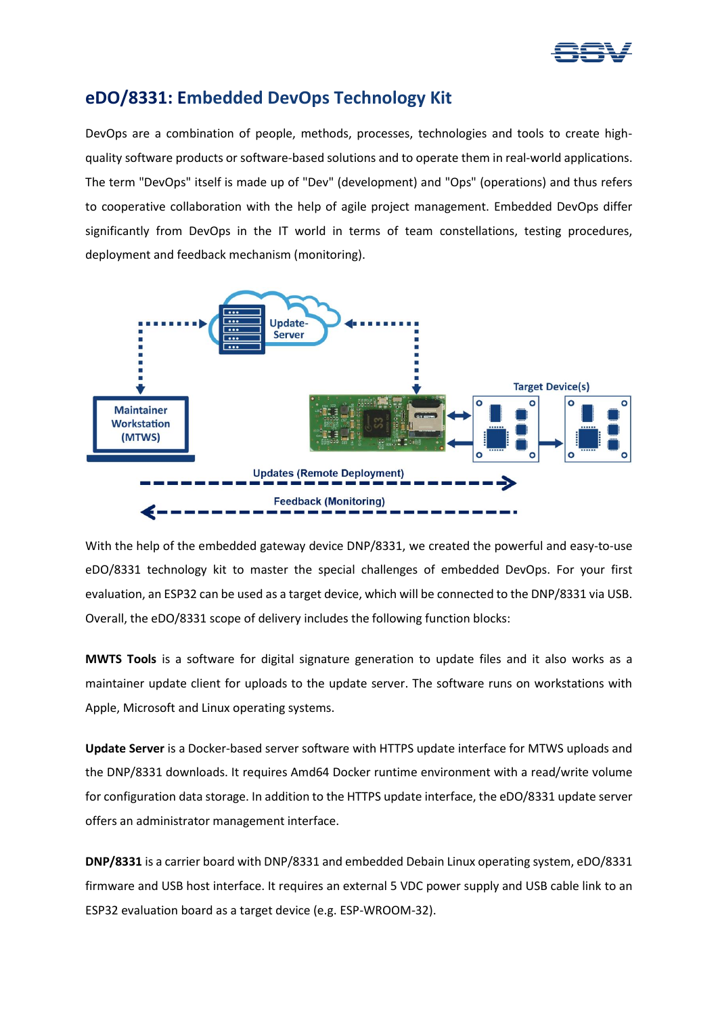

## **eDO/8331: Embedded DevOps Technology Kit**

DevOps are a combination of people, methods, processes, technologies and tools to create highquality software products or software-based solutions and to operate them in real-world applications. The term "DevOps" itself is made up of "Dev" (development) and "Ops" (operations) and thus refers to cooperative collaboration with the help of agile project management. Embedded DevOps differ significantly from DevOps in the IT world in terms of team constellations, testing procedures, deployment and feedback mechanism (monitoring).



With the help of the embedded gateway device DNP/8331, we created the powerful and easy-to-use eDO/8331 technology kit to master the special challenges of embedded DevOps. For your first evaluation, an ESP32 can be used as a target device, which will be connected to the DNP/8331 via USB. Overall, the eDO/8331 scope of delivery includes the following function blocks:

**MWTS Tools** is a software for digital signature generation to update files and it also works as a maintainer update client for uploads to the update server. The software runs on workstations with Apple, Microsoft and Linux operating systems.

**Update Server** is a Docker-based server software with HTTPS update interface for MTWS uploads and the DNP/8331 downloads. It requires Amd64 Docker runtime environment with a read/write volume for configuration data storage. In addition to the HTTPS update interface, the eDO/8331 update server offers an administrator management interface.

**DNP/8331** is a carrier board with DNP/8331 and embedded Debain Linux operating system, eDO/8331 firmware and USB host interface. It requires an external 5 VDC power supply and USB cable link to an ESP32 evaluation board as a target device (e.g. ESP-WROOM-32).